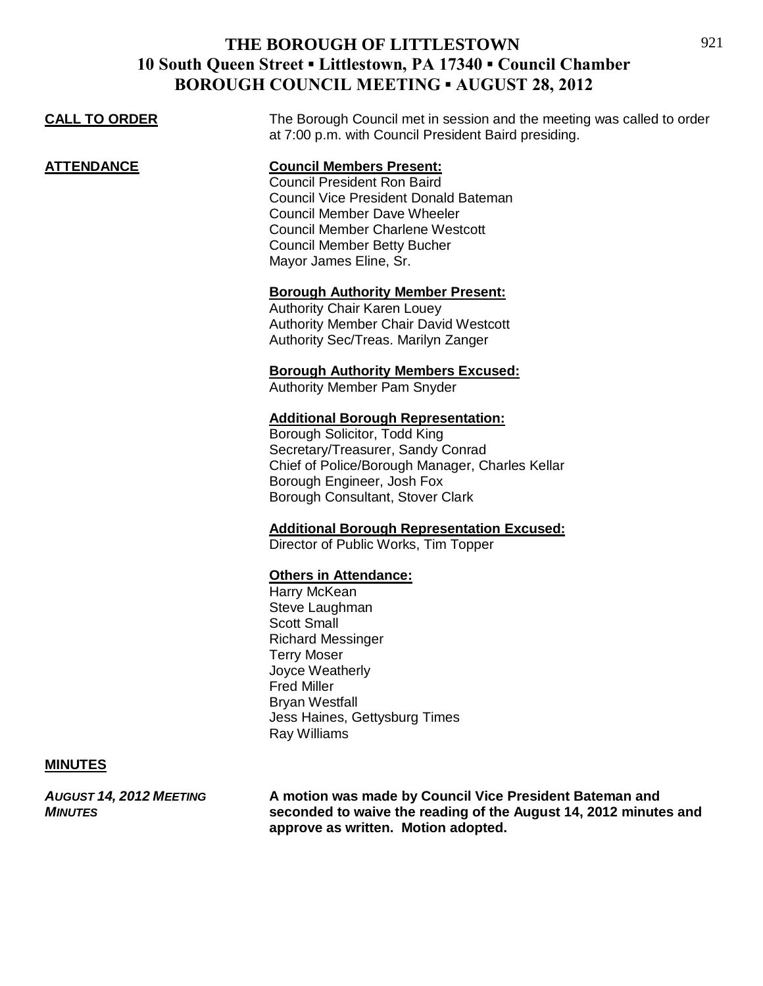|                      | <b>BURUUGH COUNCIL MEETING • AUGUST 20, 2012</b>                                                                                                                                                                                                                       |
|----------------------|------------------------------------------------------------------------------------------------------------------------------------------------------------------------------------------------------------------------------------------------------------------------|
| <b>CALL TO ORDER</b> | The Borough Council met in session and the meeting was called to order<br>at 7:00 p.m. with Council President Baird presiding.                                                                                                                                         |
| <b>ATTENDANCE</b>    | <b>Council Members Present:</b><br><b>Council President Ron Baird</b><br><b>Council Vice President Donald Bateman</b><br><b>Council Member Dave Wheeler</b><br><b>Council Member Charlene Westcott</b><br><b>Council Member Betty Bucher</b><br>Mayor James Eline, Sr. |
|                      | <b>Borough Authority Member Present:</b><br>Authority Chair Karen Louey<br><b>Authority Member Chair David Westcott</b><br>Authority Sec/Treas. Marilyn Zanger                                                                                                         |
|                      | <b>Borough Authority Members Excused:</b><br><b>Authority Member Pam Snyder</b>                                                                                                                                                                                        |
|                      | <b>Additional Borough Representation:</b><br>Borough Solicitor, Todd King<br>Secretary/Treasurer, Sandy Conrad<br>Chief of Police/Borough Manager, Charles Kellar<br>Borough Engineer, Josh Fox<br>Borough Consultant, Stover Clark                                    |
|                      | <b>Additional Borough Representation Excused:</b><br>Director of Public Works, Tim Topper                                                                                                                                                                              |
|                      | <b>Others in Attendance:</b><br>Harry McKean<br>Steve Laughman<br><b>Scott Small</b><br><b>Richard Messinger</b><br><b>Terry Moser</b><br>Joyce Weatherly<br><b>Fred Miller</b><br><b>Bryan Westfall</b><br>Jess Haines, Gettysburg Times<br>Ray Williams              |

#### **MINUTES**

*AUGUST 14, 2012 MEETING* **A motion was made by Council Vice President Bateman and**  *MINUTES* **seconded to waive the reading of the August 14, 2012 minutes and approve as written. Motion adopted.**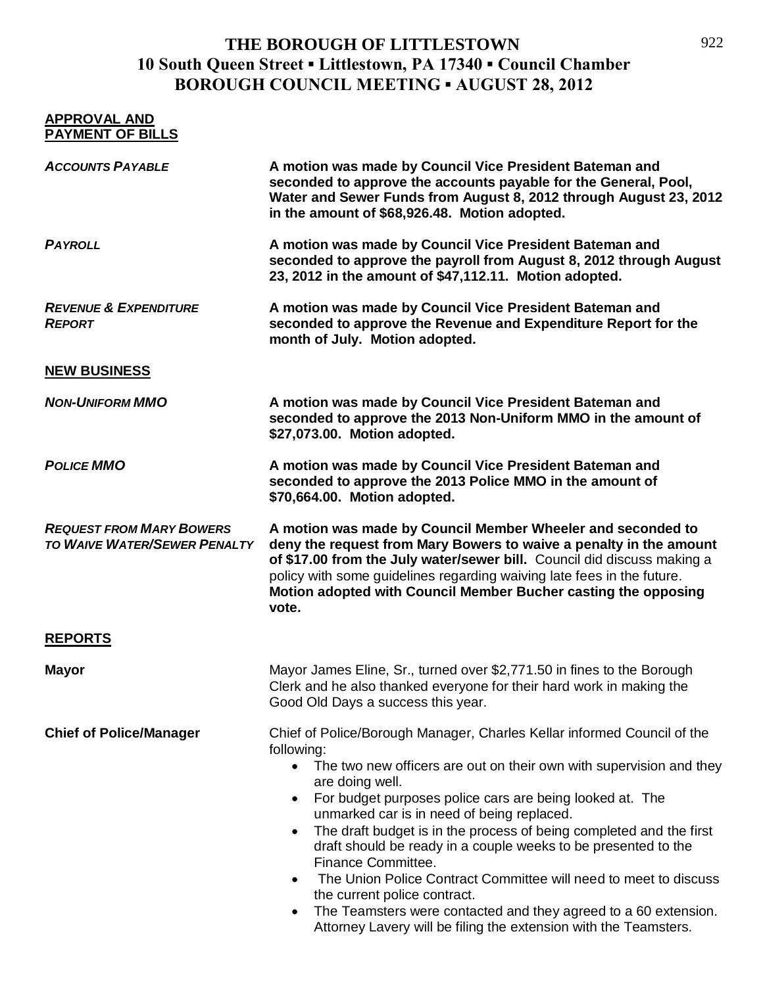| <b>APPROVAL AND</b><br><b>PAYMENT OF BILLS</b>                         |                                                                                                                                                                                                                                                                                                                                                                                                                                                                                                                                                                                                                                                                                                                                                         |
|------------------------------------------------------------------------|---------------------------------------------------------------------------------------------------------------------------------------------------------------------------------------------------------------------------------------------------------------------------------------------------------------------------------------------------------------------------------------------------------------------------------------------------------------------------------------------------------------------------------------------------------------------------------------------------------------------------------------------------------------------------------------------------------------------------------------------------------|
| <b>ACCOUNTS PAYABLE</b>                                                | A motion was made by Council Vice President Bateman and<br>seconded to approve the accounts payable for the General, Pool,<br>Water and Sewer Funds from August 8, 2012 through August 23, 2012<br>in the amount of \$68,926.48. Motion adopted.                                                                                                                                                                                                                                                                                                                                                                                                                                                                                                        |
| <b>PAYROLL</b>                                                         | A motion was made by Council Vice President Bateman and<br>seconded to approve the payroll from August 8, 2012 through August<br>23, 2012 in the amount of \$47,112.11. Motion adopted.                                                                                                                                                                                                                                                                                                                                                                                                                                                                                                                                                                 |
| <b>REVENUE &amp; EXPENDITURE</b><br><b>REPORT</b>                      | A motion was made by Council Vice President Bateman and<br>seconded to approve the Revenue and Expenditure Report for the<br>month of July. Motion adopted.                                                                                                                                                                                                                                                                                                                                                                                                                                                                                                                                                                                             |
| <b>NEW BUSINESS</b>                                                    |                                                                                                                                                                                                                                                                                                                                                                                                                                                                                                                                                                                                                                                                                                                                                         |
| <b>NON-UNIFORM MMO</b>                                                 | A motion was made by Council Vice President Bateman and<br>seconded to approve the 2013 Non-Uniform MMO in the amount of<br>\$27,073.00. Motion adopted.                                                                                                                                                                                                                                                                                                                                                                                                                                                                                                                                                                                                |
| <b>POLICE MMO</b>                                                      | A motion was made by Council Vice President Bateman and<br>seconded to approve the 2013 Police MMO in the amount of<br>\$70,664.00. Motion adopted.                                                                                                                                                                                                                                                                                                                                                                                                                                                                                                                                                                                                     |
| <b>REQUEST FROM MARY BOWERS</b><br><b>TO WAIVE WATER/SEWER PENALTY</b> | A motion was made by Council Member Wheeler and seconded to<br>deny the request from Mary Bowers to waive a penalty in the amount<br>of \$17.00 from the July water/sewer bill. Council did discuss making a<br>policy with some guidelines regarding waiving late fees in the future.<br>Motion adopted with Council Member Bucher casting the opposing<br>vote.                                                                                                                                                                                                                                                                                                                                                                                       |
| <b>REPORTS</b>                                                         |                                                                                                                                                                                                                                                                                                                                                                                                                                                                                                                                                                                                                                                                                                                                                         |
| <b>Mayor</b>                                                           | Mayor James Eline, Sr., turned over \$2,771.50 in fines to the Borough<br>Clerk and he also thanked everyone for their hard work in making the<br>Good Old Days a success this year.                                                                                                                                                                                                                                                                                                                                                                                                                                                                                                                                                                    |
| <b>Chief of Police/Manager</b>                                         | Chief of Police/Borough Manager, Charles Kellar informed Council of the<br>following:<br>The two new officers are out on their own with supervision and they<br>are doing well.<br>For budget purposes police cars are being looked at. The<br>$\bullet$<br>unmarked car is in need of being replaced.<br>The draft budget is in the process of being completed and the first<br>$\bullet$<br>draft should be ready in a couple weeks to be presented to the<br>Finance Committee.<br>The Union Police Contract Committee will need to meet to discuss<br>$\bullet$<br>the current police contract.<br>The Teamsters were contacted and they agreed to a 60 extension.<br>$\bullet$<br>Attorney Lavery will be filing the extension with the Teamsters. |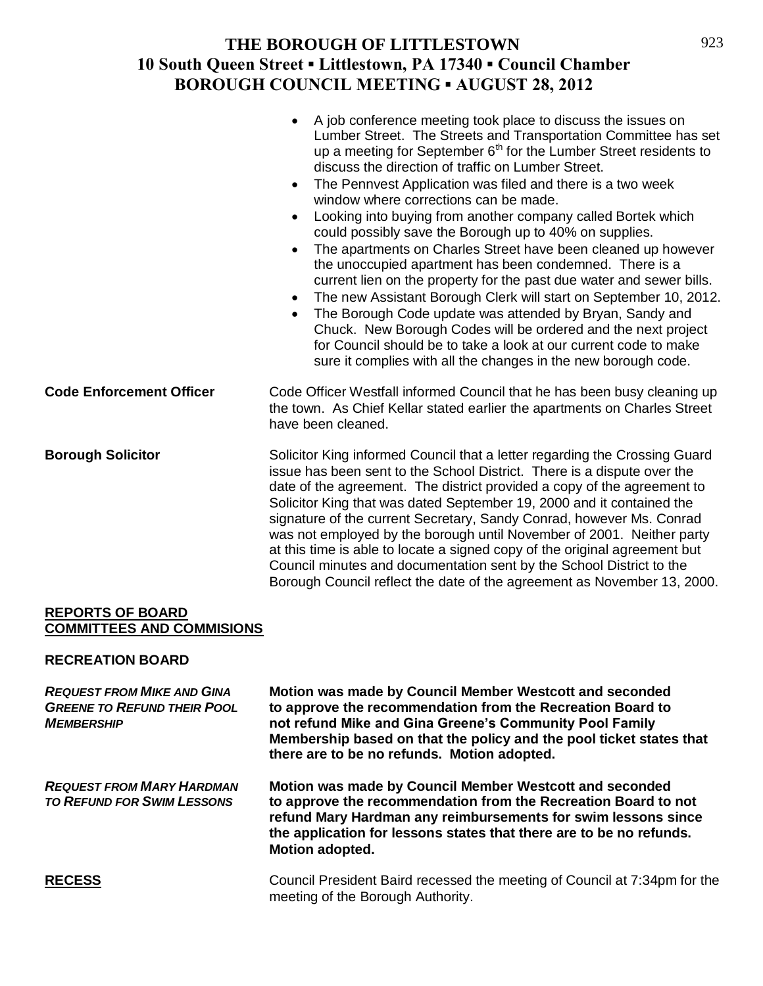|                                 | A job conference meeting took place to discuss the issues on<br>$\bullet$<br>Lumber Street. The Streets and Transportation Committee has set<br>up a meeting for September 6 <sup>th</sup> for the Lumber Street residents to<br>discuss the direction of traffic on Lumber Street.<br>The Pennvest Application was filed and there is a two week<br>$\bullet$<br>window where corrections can be made.<br>Looking into buying from another company called Bortek which<br>$\bullet$<br>could possibly save the Borough up to 40% on supplies.<br>The apartments on Charles Street have been cleaned up however<br>$\bullet$<br>the unoccupied apartment has been condemned. There is a<br>current lien on the property for the past due water and sewer bills.<br>The new Assistant Borough Clerk will start on September 10, 2012.<br>$\bullet$<br>The Borough Code update was attended by Bryan, Sandy and<br>$\bullet$<br>Chuck. New Borough Codes will be ordered and the next project<br>for Council should be to take a look at our current code to make<br>sure it complies with all the changes in the new borough code. |
|---------------------------------|-----------------------------------------------------------------------------------------------------------------------------------------------------------------------------------------------------------------------------------------------------------------------------------------------------------------------------------------------------------------------------------------------------------------------------------------------------------------------------------------------------------------------------------------------------------------------------------------------------------------------------------------------------------------------------------------------------------------------------------------------------------------------------------------------------------------------------------------------------------------------------------------------------------------------------------------------------------------------------------------------------------------------------------------------------------------------------------------------------------------------------------|
| <b>Code Enforcement Officer</b> | Code Officer Westfall informed Council that he has been busy cleaning up<br>the town. As Chief Kellar stated earlier the apartments on Charles Street<br>have been cleaned.                                                                                                                                                                                                                                                                                                                                                                                                                                                                                                                                                                                                                                                                                                                                                                                                                                                                                                                                                       |
| <b>Borough Solicitor</b>        | Solicitor King informed Council that a letter regarding the Crossing Guard<br>issue has been sent to the School District. There is a dispute over the<br>date of the agreement. The district provided a copy of the agreement to<br>Solicitor King that was dated September 19, 2000 and it contained the<br>signature of the current Secretary, Sandy Conrad, however Ms. Conrad<br>was not employed by the borough until November of 2001. Neither party<br>at this time is able to locate a signed copy of the original agreement but<br>Council minutes and documentation sent by the School District to the<br>Borough Council reflect the date of the agreement as November 13, 2000.                                                                                                                                                                                                                                                                                                                                                                                                                                       |

#### **REPORTS OF BOARD COMMITTEES AND COMMISIONS**

#### **RECREATION BOARD**

| <b>REQUEST FROM MIKE AND GINA</b><br><b>GREENE TO REFUND THEIR POOL</b><br><b>MEMBERSHIP</b> | Motion was made by Council Member Westcott and seconded<br>to approve the recommendation from the Recreation Board to<br>not refund Mike and Gina Greene's Community Pool Family<br>Membership based on that the policy and the pool ticket states that<br>there are to be no refunds. Motion adopted. |
|----------------------------------------------------------------------------------------------|--------------------------------------------------------------------------------------------------------------------------------------------------------------------------------------------------------------------------------------------------------------------------------------------------------|
| <b>REQUEST FROM MARY HARDMAN</b><br><b>TO REFUND FOR SWIM LESSONS</b>                        | Motion was made by Council Member Westcott and seconded<br>to approve the recommendation from the Recreation Board to not<br>refund Mary Hardman any reimbursements for swim lessons since<br>the application for lessons states that there are to be no refunds.<br>Motion adopted.                   |
| <b>RECESS</b>                                                                                | Council President Baird recessed the meeting of Council at 7:34pm for the<br>meeting of the Borough Authority.                                                                                                                                                                                         |